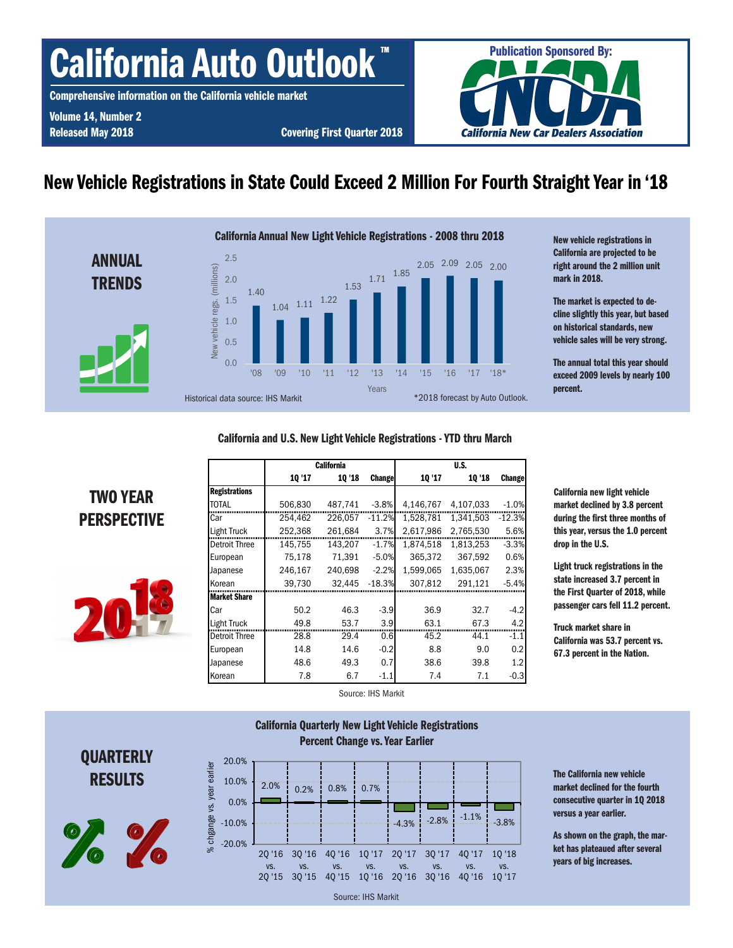# California Auto Outlook

Comprehensive information on the California vehicle market

Volume 14, Number 2

Released May 2018 Covering First Quarter 2018



### New Vehicle Registrations in State Could Exceed 2 Million For Fourth Straight Year in '18



New vehicle registrations in California are projected to be right around the 2 million unit mark in 2018.

The market is expected to decline slightly this year, but based on historical standards, new vehicle sales will be very strong.

The annual total this year should exceed 2009 levels by nearly 100 percent.

#### California and U.S. New Light Vehicle Registrations - YTD thru March

TWO YEAR **PERSPECTIVE** 



|               |         | <b>California</b> |               | U.S.      |           |               |  |  |
|---------------|---------|-------------------|---------------|-----------|-----------|---------------|--|--|
|               | 10 '17  | 10 '18            | <b>Change</b> | 10 '17    | 10 '18    | <b>Change</b> |  |  |
| Registrations |         |                   |               |           |           |               |  |  |
| <b>TOTAL</b>  | 506,830 | 487,741           | $-3.8%$       | 4,146,767 | 4,107,033 | $-1.0%$       |  |  |
| Car           | 254.462 | 226.057           | $-11.2%$      | 1.528.781 | 1.341.503 | $-12.3%$      |  |  |
| Light Truck   | 252,368 | 261,684           | 3.7%          | 2,617,986 | 2,765,530 | 5.6%          |  |  |
| Detroit Three | 145,755 | 143,207           | $-1.7%$       | 1,874,518 | 1,813,253 | $-3.3%$       |  |  |
| European      | 75.178  | 71.391            | $-5.0%$       | 365.372   | 367.592   | 0.6%          |  |  |
| Japanese      | 246,167 | 240.698           | $-2.2%$       | 1.599.065 | 1.635.067 | 2.3%          |  |  |
| Korean        | 39,730  | 32,445            | $-18.3%$      | 307,812   | 291,121   | $-5.4%$       |  |  |
| Market Share  |         |                   |               |           |           |               |  |  |
| Car           | 50.2    | 46.3              | $-3.9$        | 36.9      | 32.7      | $-4.2$        |  |  |
| Light Truck   | 49.8    | 53.7              | 3.9           | 63.1      | 67.3      | 4.2           |  |  |
| Detroit Three | 28.8    | 29.4              | 0.6           | 45.2      | 44.1      | $-1.1$        |  |  |
| European      | 14.8    | 14.6              | $-0.2$        | 8.8       | 9.0       | 0.2           |  |  |
| Japanese      | 48.6    | 49.3              | 0.7           | 38.6      | 39.8      | 1.2           |  |  |
| Korean        | 7.8     | 6.7               | $-1.1$        | 7.4       | 7.1       | $-0.3$        |  |  |

California new light vehicle market declined by 3.8 percent during the first three months of this year, versus the 1.0 percent drop in the U.S.

Light truck registrations in the state increased 3.7 percent in the First Quarter of 2018, while passenger cars fell 11.2 percent.

Truck market share in California was 53.7 percent vs. 67.3 percent in the Nation.

Source: IHS Markit

California Quarterly New Light Vehicle Registrations

## **QUARTERLY RESULTS**





The California new vehicle market declined for the fourth consecutive quarter in 1Q 2018 versus a year earlier.

As shown on the graph, the market has plateaued after several years of big increases.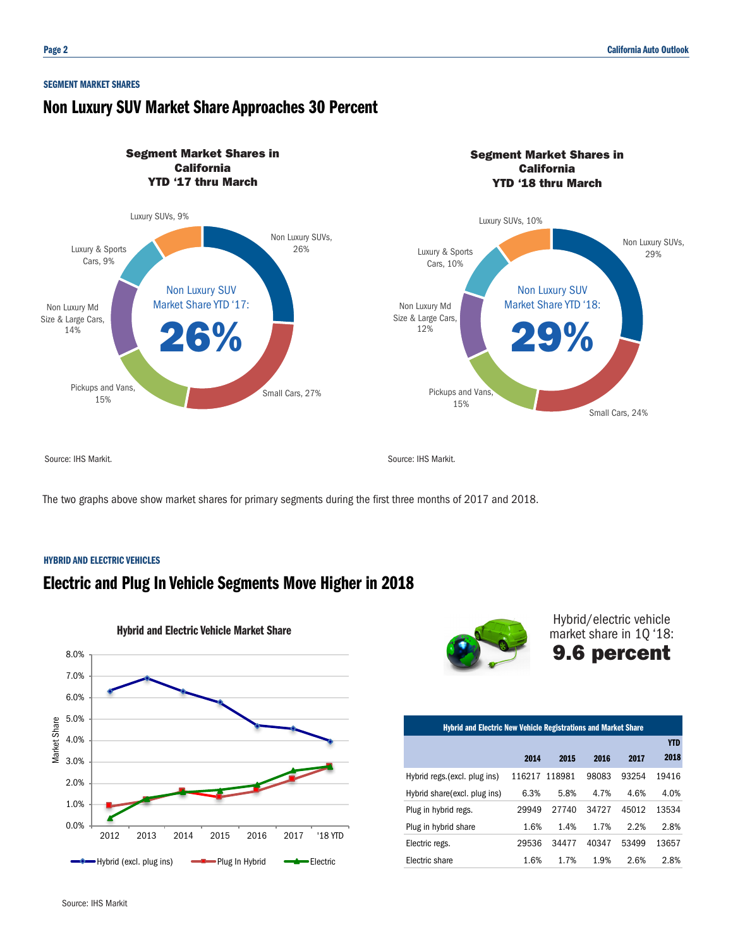#### SEGMENT MARKET SHARES

### Non Luxury SUV Market Share Approaches 30 Percent



The two graphs above show market shares for primary segments during the first three months of 2017 and 2018.

#### HYBRID AND ELECTRIC VEHICLES

### Electric and Plug In Vehicle Segments Move Higher in 2018





Hybrid/electric vehicle market share in 1Q '18: 9.6 percent

| <b>Hybrid and Electric New Vehicle Registrations and Market Share</b> |        |        |       |       |            |  |  |  |  |
|-----------------------------------------------------------------------|--------|--------|-------|-------|------------|--|--|--|--|
|                                                                       |        |        |       |       | <b>YTD</b> |  |  |  |  |
|                                                                       | 2014   | 2015   | 2016  | 2017  | 2018       |  |  |  |  |
| Hybrid regs.(excl. plug ins)                                          | 116217 | 118981 | 98083 | 93254 | 19416      |  |  |  |  |
| Hybrid share (excl. plug ins)                                         | 6.3%   | 5.8%   | 4.7%  | 4.6%  | 4.0%       |  |  |  |  |
| Plug in hybrid regs.                                                  | 29949  | 27740  | 34727 | 45012 | 13534      |  |  |  |  |
| Plug in hybrid share                                                  | 1.6%   | 1.4%   | 1.7%  | 2.2%  | 2.8%       |  |  |  |  |
| Electric regs.                                                        | 29536  | 34477  | 40347 | 53499 | 13657      |  |  |  |  |
| Electric share                                                        | 1.6%   | 1.7%   | 1.9%  | 2.6%  | 2.8%       |  |  |  |  |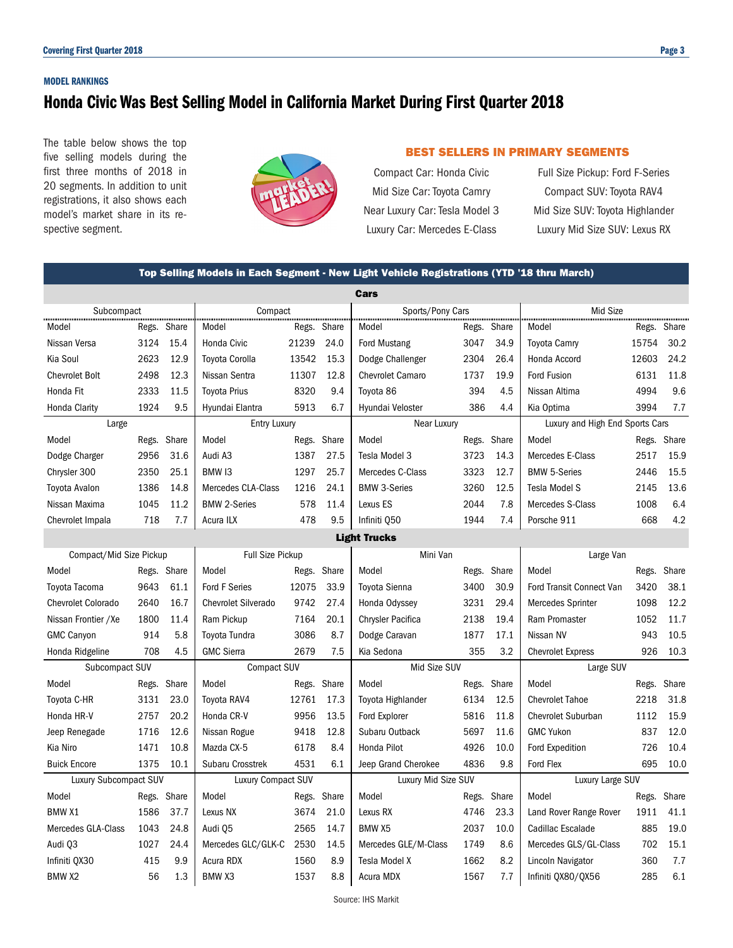#### MODEL RANKINGS

### Honda Civic Was Best Selling Model in California Market During First Quarter 2018

The table below shows the top five selling models during the first three months of 2018 in 20 segments. In addition to unit registrations, it also shows each model's market share in its respective segment.



#### BEST SELLERS IN PRIMARY SEGMENTS

Compact Car: Honda Civic Full Size Pickup: Ford F-Series Mid Size Car: Toyota Camry Compact SUV: Toyota RAV4

Near Luxury Car: Tesla Model 3 Mid Size SUV: Toyota Highlander Luxury Car: Mercedes E-Class Luxury Mid Size SUV: Lexus RX

|                              | Top Selling Models in Each Segment - New Light Vehicle Registrations (YTD '18 thru March) |             |                            |             |      |                          |             |       |                                 |       |             |
|------------------------------|-------------------------------------------------------------------------------------------|-------------|----------------------------|-------------|------|--------------------------|-------------|-------|---------------------------------|-------|-------------|
|                              |                                                                                           |             |                            |             |      | Cars                     |             |       |                                 |       |             |
| Subcompact                   |                                                                                           |             | Compact Communication      |             |      | Sports/Pony Cars         |             |       | Mid Size                        |       |             |
| Model                        |                                                                                           | Regs. Share | Model                      | Regs. Share |      | Model                    | Regs. Share |       | Model                           |       | Regs. Share |
| Nissan Versa                 | 3124                                                                                      | 15.4        | Honda Civic                | 21239       | 24.0 | <b>Ford Mustang</b>      | 3047        | 34.9  | <b>Toyota Camry</b>             | 15754 | 30.2        |
| Kia Soul                     | 2623                                                                                      | 12.9        | <b>Toyota Corolla</b>      | 13542       | 15.3 | Dodge Challenger         | 2304        | 26.4  | Honda Accord                    | 12603 | 24.2        |
| <b>Chevrolet Bolt</b>        | 2498                                                                                      | 12.3        | Nissan Sentra              | 11307       | 12.8 | <b>Chevrolet Camaro</b>  | 1737        | 19.9  | <b>Ford Fusion</b>              | 6131  | 11.8        |
| Honda Fit                    | 2333                                                                                      | 11.5        | <b>Toyota Prius</b>        | 8320        | 9.4  | Toyota 86                | 394         | 4.5   | Nissan Altima                   | 4994  | 9.6         |
| <b>Honda Clarity</b>         | 1924                                                                                      | 9.5         | Hyundai Elantra            | 5913        | 6.7  | Hyundai Veloster         | 386         | 4.4   | Kia Optima                      | 3994  | 7.7         |
| Large                        |                                                                                           |             | <b>Entry Luxury</b>        |             |      | Near Luxury              |             |       | Luxury and High End Sports Cars |       |             |
| Model                        |                                                                                           | Regs. Share | Model                      | Regs. Share |      | Model                    | Regs.       | Share | Model                           |       | Regs. Share |
| Dodge Charger                | 2956                                                                                      | 31.6        | Audi A3                    | 1387        | 27.5 | Tesla Model 3            | 3723        | 14.3  | Mercedes E-Class                | 2517  | 15.9        |
| Chrysler 300                 | 2350                                                                                      | 25.1        | BMW <sub>13</sub>          | 1297        | 25.7 | Mercedes C-Class         | 3323        | 12.7  | <b>BMW 5-Series</b>             | 2446  | 15.5        |
| Toyota Avalon                | 1386                                                                                      | 14.8        | <b>Mercedes CLA-Class</b>  | 1216        | 24.1 | <b>BMW 3-Series</b>      | 3260        | 12.5  | <b>Tesla Model S</b>            | 2145  | 13.6        |
| Nissan Maxima                | 1045                                                                                      | 11.2        | <b>BMW 2-Series</b>        | 578         | 11.4 | Lexus ES                 | 2044        | 7.8   | Mercedes S-Class                | 1008  | 6.4         |
| Chevrolet Impala             | 718                                                                                       | 7.7         | Acura ILX                  | 478         | 9.5  | Infiniti Q50             | 1944        | 7.4   | Porsche 911                     | 668   | 4.2         |
|                              | <b>Light Trucks</b>                                                                       |             |                            |             |      |                          |             |       |                                 |       |             |
| Compact/Mid Size Pickup      |                                                                                           |             | <b>Full Size Pickup</b>    |             |      | Mini Van                 |             |       | Large Van                       |       |             |
| Model                        |                                                                                           | Regs. Share | Model                      | Regs. Share |      | Model                    | Regs.       | Share | Model                           | Regs. | Share       |
| Toyota Tacoma                | 9643                                                                                      | 61.1        | <b>Ford F Series</b>       | 12075       | 33.9 | <b>Toyota Sienna</b>     | 3400        | 30.9  | Ford Transit Connect Van        | 3420  | 38.1        |
| <b>Chevrolet Colorado</b>    | 2640                                                                                      | 16.7        | <b>Chevrolet Silverado</b> | 9742        | 27.4 | Honda Odyssey            | 3231        | 29.4  | Mercedes Sprinter               | 1098  | 12.2        |
| Nissan Frontier / Xe         | 1800                                                                                      | 11.4        | Ram Pickup                 | 7164        | 20.1 | <b>Chrysler Pacifica</b> | 2138        | 19.4  | Ram Promaster                   | 1052  | 11.7        |
| <b>GMC Canyon</b>            | 914                                                                                       | 5.8         | Toyota Tundra              | 3086        | 8.7  | Dodge Caravan            | 1877        | 17.1  | Nissan NV                       | 943   | 10.5        |
| Honda Ridgeline              | 708                                                                                       | 4.5         | <b>GMC Sierra</b>          | 2679        | 7.5  | Kia Sedona               | 355         | 3.2   | <b>Chevrolet Express</b>        | 926   | 10.3        |
| Subcompact SUV               |                                                                                           |             | <b>Compact SUV</b>         |             |      | Mid Size SUV             |             |       | Large SUV                       |       |             |
| Model                        |                                                                                           | Regs. Share | Model                      | Regs. Share |      | Model                    | Regs. Share |       | Model                           | Regs. | Share       |
| Toyota C-HR                  | 3131                                                                                      | 23.0        | Toyota RAV4                | 12761       | 17.3 | Toyota Highlander        | 6134        | 12.5  | <b>Chevrolet Tahoe</b>          | 2218  | 31.8        |
| Honda HR-V                   | 2757                                                                                      | 20.2        | Honda CR-V                 | 9956        | 13.5 | Ford Explorer            | 5816        | 11.8  | <b>Chevrolet Suburban</b>       | 1112  | 15.9        |
| Jeep Renegade                | 1716                                                                                      | 12.6        | Nissan Rogue               | 9418        | 12.8 | Subaru Outback           | 5697        | 11.6  | <b>GMC Yukon</b>                | 837   | 12.0        |
| Kia Niro                     | 1471                                                                                      | 10.8        | Mazda CX-5                 | 6178        | 8.4  | Honda Pilot              | 4926        | 10.0  | Ford Expedition                 | 726   | 10.4        |
| <b>Buick Encore</b>          | 1375                                                                                      | 10.1        | Subaru Crosstrek           | 4531        | 6.1  | Jeep Grand Cherokee      | 4836        | 9.8   | Ford Flex                       | 695   | 10.0        |
| <b>Luxury Subcompact SUV</b> |                                                                                           |             | <b>Luxury Compact SUV</b>  |             |      | Luxury Mid Size SUV      |             |       | Luxury Large SUV                |       |             |
| Model                        |                                                                                           | Regs. Share | Model                      | Regs. Share |      | Model                    | Regs. Share |       | Model                           | Regs. | Share       |
| <b>BMW X1</b>                | 1586                                                                                      | 37.7        | Lexus NX                   | 3674        | 21.0 | Lexus RX                 | 4746        | 23.3  | Land Rover Range Rover          | 1911  | 41.1        |
| Mercedes GLA-Class           | 1043                                                                                      | 24.8        | Audi 05                    | 2565        | 14.7 | <b>BMW X5</b>            | 2037        | 10.0  | Cadillac Escalade               | 885   | 19.0        |
| Audi Q3                      | 1027                                                                                      | 24.4        | Mercedes GLC/GLK-C         | 2530        | 14.5 | Mercedes GLE/M-Class     | 1749        | 8.6   | Mercedes GLS/GL-Class           | 702   | 15.1        |
| Infiniti QX30                | 415                                                                                       | 9.9         | Acura RDX                  | 1560        | 8.9  | Tesla Model X            | 1662        | 8.2   | Lincoln Navigator               | 360   | 7.7         |
| BMW X2                       | 56                                                                                        | 1.3         | BMW X3                     | 1537        | 8.8  | Acura MDX                | 1567        | 7.7   | Infiniti QX80/QX56              | 285   | 6.1         |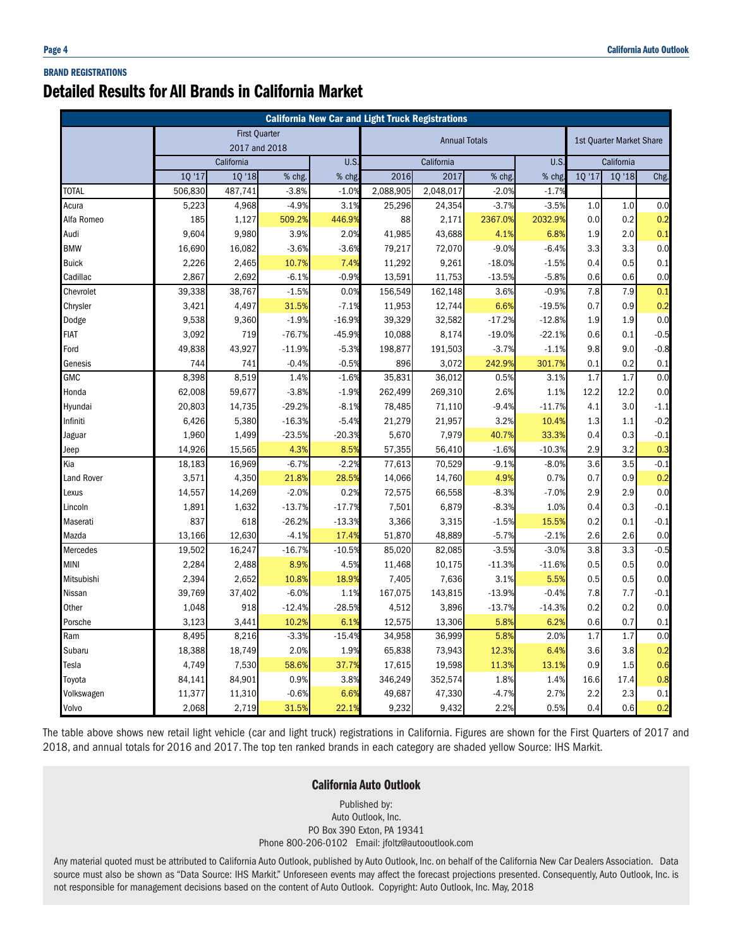#### BRAND REGISTRATIONS

### Detailed Results for All Brands in California Market

| <b>California New Car and Light Truck Registrations</b> |                  |                   |                      |                     |                      |                   |                   |                  |                          |            |                  |
|---------------------------------------------------------|------------------|-------------------|----------------------|---------------------|----------------------|-------------------|-------------------|------------------|--------------------------|------------|------------------|
|                                                         |                  |                   | <b>First Quarter</b> |                     | <b>Annual Totals</b> |                   |                   |                  | 1st Quarter Market Share |            |                  |
|                                                         |                  | 2017 and 2018     |                      |                     |                      |                   |                   |                  |                          |            |                  |
|                                                         |                  | California        |                      | U.S                 |                      | California        |                   | U.S.             |                          | California |                  |
| <b>TOTAL</b>                                            | 10'17<br>506,830 | 1Q '18<br>487,741 | % chg.<br>$-3.8%$    | % chg<br>$-1.0%$    | 2016<br>2,088,905    | 2017<br>2,048,017 | % chg.<br>$-2.0%$ | % chg<br>$-1.7%$ | 10 '17                   | 10 '18     | Chg.             |
| Acura                                                   | 5,223            | 4,968             | $-4.9%$              | 3.1%                | 25,296               | 24,354            | $-3.7%$           | $-3.5%$          | 1.0                      | 1.0        | 0.0              |
| Alfa Romeo                                              | 185              | 1,127             | 509.2%               | 446.9%              | 88                   | 2,171             | 2367.0%           | 2032.9%          | 0.0                      | 0.2        | 0.2              |
| Audi                                                    | 9,604            | 9,980             | 3.9%                 | 2.0%                | 41,985               | 43,688            | 4.1%              | 6.8%             | 1.9                      | 2.0        | 0.1              |
| <b>BMW</b>                                              | 16,690           | 16,082            | $-3.6%$              | $-3.6%$             | 79,217               | 72,070            | $-9.0%$           | $-6.4%$          | 3.3                      | 3.3        | 0.0              |
| <b>Buick</b>                                            | 2,226            | 2,465             | 10.7%                | 7.4%                | 11,292               | 9,261             | $-18.0%$          | $-1.5%$          | 0.4                      | 0.5        | 0.1              |
| Cadillac                                                | 2,867            | 2,692             | $-6.1%$              | $-0.9%$             | 13,591               | 11,753            | $-13.5%$          | $-5.8%$          | 0.6                      | 0.6        | 0.0              |
| Chevrolet                                               | 39,338           | 38,767            | $-1.5%$              | 0.0%                | 156,549              | 162,148           | 3.6%              | $-0.9%$          | 7.8                      | 7.9        | 0.1              |
| Chrysler                                                | 3,421            | 4,497             | 31.5%                | $-7.1%$             | 11,953               | 12,744            | 6.6%              | $-19.5%$         | 0.7                      | 0.9        | 0.2              |
| Dodge                                                   | 9,538            | 9,360             | $-1.9%$              | $-16.9%$            | 39,329               |                   | $-17.2%$          | $-12.8%$         | 1.9                      | 1.9        | 0.0              |
| <b>FIAT</b>                                             | 3,092            | 719               | $-76.7%$             | $-45.9%$            | 10,088               | 32,582<br>8,174   | $-19.0%$          | $-22.1%$         | 0.6                      | 0.1        |                  |
| Ford                                                    | 49,838           | 43,927            | $-11.9%$             | $-5.3%$             | 198,877              | 191,503           | $-3.7%$           | $-1.1%$          | 9.8                      | 9.0        | $-0.5$<br>$-0.8$ |
| Genesis                                                 | 744              | 741               | $-0.4%$              | $-0.5%$             | 896                  | 3,072             | 242.9%            | 301.7%           | 0.1                      | 0.2        | 0.1              |
| <b>GMC</b>                                              | 8,398            | 8,519             | 1.4%                 | $-1.6%$             | 35,831               | 36,012            | 0.5%              | 3.1%             | 1.7                      | 1.7        | 0.0              |
| Honda                                                   | 62,008           | 59,677            | $-3.8%$              | $-1.9%$             | 262,499              | 269,310           | 2.6%              | 1.1%             | 12.2                     | 12.2       | 0.0              |
|                                                         |                  |                   |                      |                     |                      |                   |                   |                  |                          | 3.0        |                  |
| Hyundai                                                 | 20,803           | 14,735            | $-29.2%$             | $-8.1%$             | 78,485               | 71,110            | $-9.4%$           | $-11.7%$         | 4.1<br>1.3               |            | $-1.1$<br>$-0.2$ |
| Infiniti                                                | 6,426<br>1,960   | 5,380<br>1,499    | $-16.3%$<br>$-23.5%$ | $-5.4%$<br>$-20.3%$ | 21,279<br>5,670      | 21,957<br>7,979   | 3.2%<br>40.7%     | 10.4%<br>33.3%   |                          | 1.1<br>0.3 |                  |
| Jaguar                                                  |                  |                   |                      |                     |                      |                   |                   |                  | 0.4                      |            | $-0.1$           |
| Jeep                                                    | 14,926           | 15,565            | 4.3%                 | 8.5%                | 57,355               | 56,410            | $-1.6%$           | $-10.3%$         | 2.9                      | 3.2        | 0.3              |
| Kia                                                     | 18,183           | 16,969            | $-6.7%$              | $-2.2%$             | 77,613               | 70,529            | $-9.1%$           | $-8.0%$          | 3.6                      | 3.5        | $-0.1$           |
| Land Rover                                              | 3,571            | 4,350             | 21.8%                | 28.5%               | 14,066               | 14,760            | 4.9%              | 0.7%             | 0.7                      | 0.9        | 0.2              |
| Lexus                                                   | 14,557           | 14,269            | $-2.0%$              | 0.2%                | 72,575               | 66,558            | $-8.3%$           | $-7.0%$          | 2.9                      | 2.9        | 0.0              |
| Lincoln                                                 | 1,891            | 1,632             | $-13.7%$             | $-17.7%$            | 7,501                | 6,879             | $-8.3%$           | 1.0%             | 0.4                      | 0.3        | $-0.1$           |
| Maserati                                                | 837              | 618               | $-26.2%$             | $-13.3%$            | 3,366                | 3,315             | $-1.5%$           | 15.5%            | 0.2                      | 0.1        | $-0.1$           |
| Mazda                                                   | 13,166           | 12,630            | $-4.1%$              | 17.49               | 51,870               | 48,889            | $-5.7%$           | $-2.1%$          | 2.6                      | 2.6        | 0.0              |
| Mercedes                                                | 19,502           | 16,247            | $-16.7%$             | $-10.5%$            | 85,020               | 82,085            | $-3.5%$           | $-3.0%$          | 3.8                      | 3.3        | $-0.5$           |
| <b>MINI</b>                                             | 2,284            | 2,488             | 8.9%                 | 4.5%                | 11,468               | 10,175            | $-11.3%$          | $-11.6%$         | 0.5                      | 0.5        | 0.0              |
| Mitsubishi                                              | 2,394            | 2,652             | 10.8%                | 18.9%               | 7,405                | 7,636             | 3.1%              | 5.5%             | 0.5                      | 0.5        | 0.0              |
| Nissan                                                  | 39,769           | 37,402            | $-6.0%$              | 1.1%                | 167,075              | 143,815           | $-13.9%$          | $-0.4%$          | 7.8                      | 7.7        | $-0.1$           |
| Other                                                   | 1,048            | 918               | $-12.4%$             | $-28.5%$            | 4,512                | 3,896             | $-13.7%$          | $-14.3%$         | 0.2                      | 0.2        | 0.0              |
| Porsche                                                 | 3,123            | 3,441             | 10.2%                | 6.1%                | 12,575               | 13,306            | 5.8%              | 6.2%             | 0.6                      | 0.7        | 0.1              |
| Ram                                                     | 8,495            | 8,216             | $-3.3%$              | $-15.4%$            | 34,958               | 36,999            | 5.8%              | 2.0%             | 1.7                      | 1.7        | 0.0              |
| Subaru                                                  | 18,388           | 18,749            | 2.0%                 | 1.9%                | 65,838               | 73,943            | 12.3%             | 6.4%             | 3.6                      | 3.8        | 0.2              |
| Tesla                                                   | 4,749            | 7,530             | 58.6%                | 37.7%               | 17,615               | 19,598            | 11.3%             | 13.1%            | 0.9                      | 1.5        | 0.6              |
| Toyota                                                  | 84,141           | 84,901            | 0.9%                 | 3.8%                | 346,249              | 352,574           | 1.8%              | 1.4%             | 16.6                     | 17.4       | 0.8              |
| Volkswagen                                              | 11,377           | 11,310            | $-0.6%$              | 6.6%                | 49,687               | 47,330            | $-4.7%$           | 2.7%             | 2.2                      | 2.3        | 0.1              |
| Volvo                                                   | 2,068            | 2,719             | 31.5%                | 22.1%               | 9,232                | 9,432             | 2.2%              | 0.5%             | 0.4                      | 0.6        | 0.2              |

The table above shows new retail light vehicle (car and light truck) registrations in California. Figures are shown for the First Quarters of 2017 and 2018, and annual totals for 2016 and 2017. The top ten ranked brands in each category are shaded yellow Source: IHS Markit.

#### California Auto Outlook

Published by: Auto Outlook, Inc. PO Box 390 Exton, PA 19341 Phone 800-206-0102 Email: jfoltz@autooutlook.com

Any material quoted must be attributed to California Auto Outlook, published by Auto Outlook, Inc. on behalf of the California New Car Dealers Association. Data source must also be shown as "Data Source: IHS Markit." Unforeseen events may affect the forecast projections presented. Consequently, Auto Outlook, Inc. is not responsible for management decisions based on the content of Auto Outlook. Copyright: Auto Outlook, Inc. May, 2018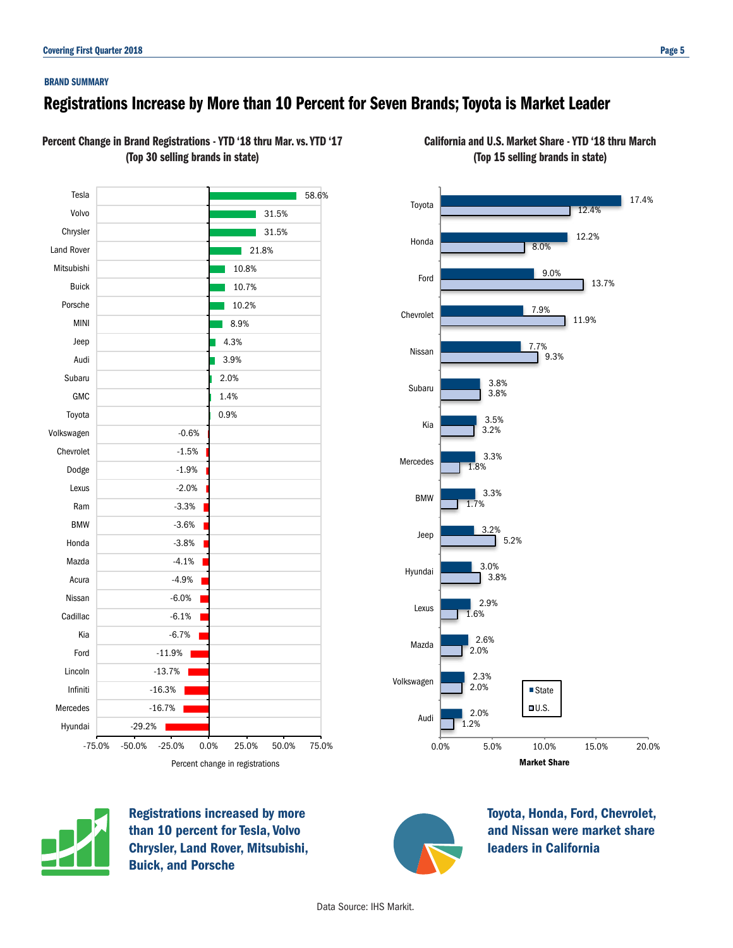### Registrations Increase by More than 10 Percent for Seven Brands; Toyota is Market Leader

Percent Change in Brand Registrations - YTD '18 thru Mar. vs. YTD '17 (Top 30 selling brands in state)





Registrations increased by more than 10 percent for Tesla, Volvo Chrysler, Land Rover, Mitsubishi, Buick, and Porsche



Toyota, Honda, Ford, Chevrolet, and Nissan were market share

leaders in California

California and U.S. Market Share - YTD '18 thru March (Top 15 selling brands in state)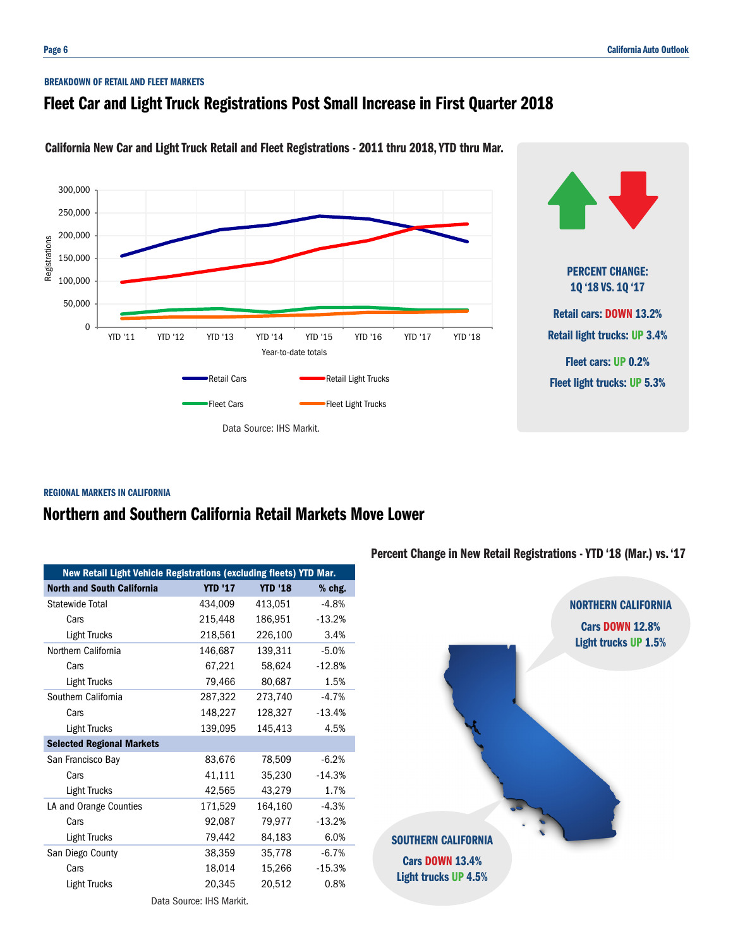#### BREAKDOWN OF RETAIL AND FLEET MARKETS

### Fleet Car and Light Truck Registrations Post Small Increase in First Quarter 2018



California New Car and Light Truck Retail and Fleet Registrations - 2011 thru 2018, YTD thru Mar.

#### REGIONAL MARKETS IN CALIFORNIA

### Northern and Southern California Retail Markets Move Lower

| New Retail Light Vehicle Registrations (excluding fleets) YTD Mar. |                          |                |          |
|--------------------------------------------------------------------|--------------------------|----------------|----------|
| <b>North and South California</b>                                  | <b>YTD '17</b>           | <b>YTD '18</b> | $%$ chg. |
| Statewide Total                                                    | 434,009                  | 413,051        | $-4.8%$  |
| Cars                                                               | 215,448                  | 186,951        | $-13.2%$ |
| <b>Light Trucks</b>                                                | 218,561                  | 226,100        | 3.4%     |
| Northern California                                                | 146,687                  | 139,311        | $-5.0%$  |
| Cars                                                               | 67,221                   | 58,624         | $-12.8%$ |
| <b>Light Trucks</b>                                                | 79,466                   | 80,687         | 1.5%     |
| Southern California                                                | 287,322                  | 273,740        | $-4.7%$  |
| Cars                                                               | 148,227                  | 128,327        | $-13.4%$ |
| Light Trucks                                                       | 139,095                  | 145,413        | 4.5%     |
| <b>Selected Regional Markets</b>                                   |                          |                |          |
| San Francisco Bay                                                  | 83,676                   | 78,509         | $-6.2%$  |
| Cars                                                               | 41,111                   | 35,230         | $-14.3%$ |
| Light Trucks                                                       | 42,565                   | 43,279         | 1.7%     |
| LA and Orange Counties                                             | 171,529                  | 164,160        | $-4.3%$  |
| Cars                                                               | 92,087                   | 79,977         | $-13.2%$ |
| Light Trucks                                                       | 79,442                   | 84,183         | 6.0%     |
| San Diego County                                                   | 38,359                   | 35,778         | $-6.7%$  |
| Cars                                                               | 18,014                   | 15,266         | $-15.3%$ |
| Light Trucks                                                       | 20,345                   | 20,512         | 0.8%     |
|                                                                    | Data Source: IHS Markit. |                |          |

Percent Change in New Retail Registrations - YTD '18 (Mar.) vs. '17

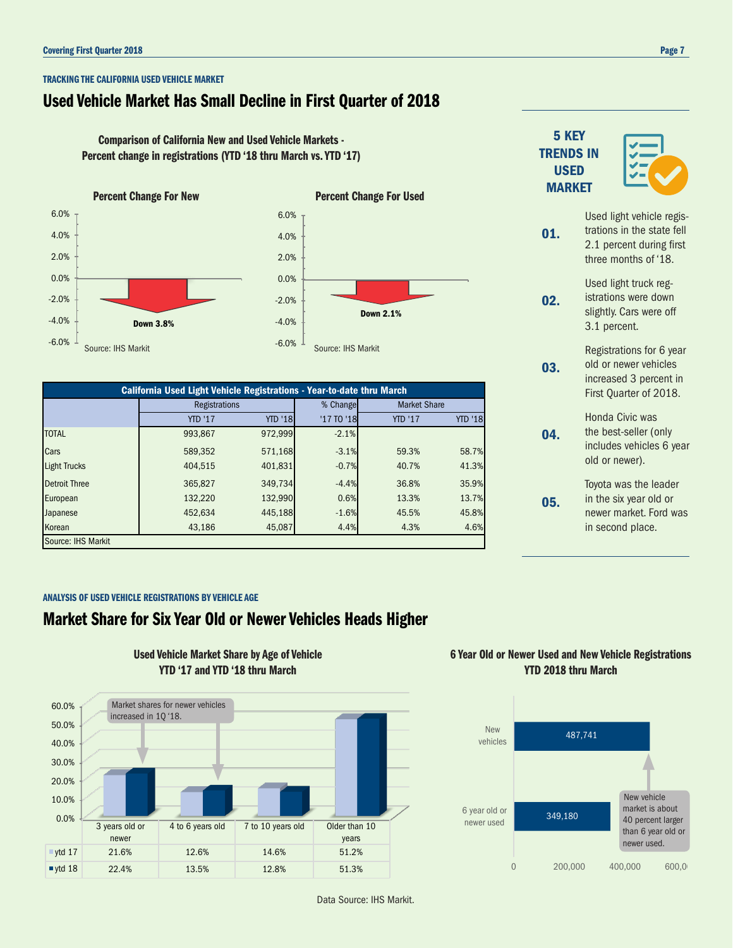#### TRACKING THE CALIFORNIA USED VEHICLE MARKET

### Used Vehicle Market Has Small Decline in First Quarter of 2018

Comparison of California New and Used Vehicle Markets - Percent change in registrations (YTD '18 thru March vs. YTD '17)



-4.0% -2.0% 0.0% 2.0% 4.0% 6.0% Down 2.1%

| California Used Light Vehicle Registrations - Year-to-date thru March |                |                |            |                     |                |  |  |  |
|-----------------------------------------------------------------------|----------------|----------------|------------|---------------------|----------------|--|--|--|
|                                                                       | Registrations  |                | % Change   | <b>Market Share</b> |                |  |  |  |
|                                                                       | <b>YTD '17</b> | <b>YTD '18</b> | '17 TO '18 | <b>YTD '17</b>      | <b>YTD '18</b> |  |  |  |
| <b>TOTAL</b>                                                          | 993,867        | 972,999        | $-2.1%$    |                     |                |  |  |  |
| Cars                                                                  | 589,352        | 571,168        | $-3.1%$    | 59.3%               | 58.7%          |  |  |  |
| <b>Light Trucks</b>                                                   | 404.515        | 401,831        | $-0.7%$    | 40.7%               | 41.3%          |  |  |  |
| <b>Detroit Three</b>                                                  | 365,827        | 349,734        | $-4.4%$    | 36.8%               | 35.9%          |  |  |  |
| European                                                              | 132,220        | 132,990        | 0.6%       | 13.3%               | 13.7%          |  |  |  |
| Japanese                                                              | 452,634        | 445,188        | $-1.6%$    | 45.5%               | 45.8%          |  |  |  |
| Korean                                                                | 43.186         | 45,087         | 4.4%       | 4.3%                | 4.6%           |  |  |  |
| Source: IHS Markit                                                    |                |                |            |                     |                |  |  |  |

#### ANALYSIS OF USED VEHICLE REGISTRATIONS BY VEHICLE AGE

### Market Share for Six Year Old or Newer Vehicles Heads Higher



Used Vehicle Market Share by Age of Vehicle YTD '17 and YTD '18 thru March

### 6 Year Old or Newer Used and New Vehicle Registrations YTD 2018 thru March



|     | 2.1 percent during first<br>three months of '18.                                                      |
|-----|-------------------------------------------------------------------------------------------------------|
| 02. | Used light truck reg-<br>istrations were down<br>slightly. Cars were off<br>3.1 percent.              |
| 03. | Registrations for 6 year<br>old or newer vehicles<br>increased 3 percent in<br>First Quarter of 2018. |
| 04. | Honda Civic was<br>the best-seller (only<br>includes vehicles 6 year<br>old or newer).                |
|     | Toyota was the leader<br>in the six year old or<br>newer market. Ford was                             |

in second place.

TRENDS IN USED **MARKET** 

01.

5 KEY



Used light vehicle registrations in the state fell

Data Source: IHS Markit.